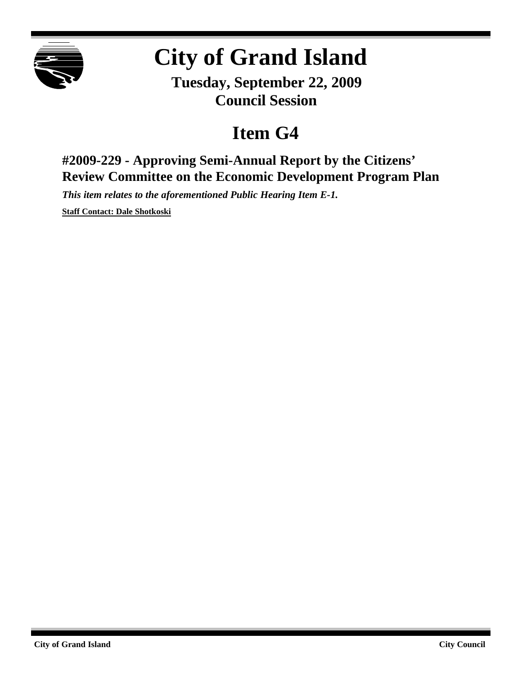

## **City of Grand Island**

**Tuesday, September 22, 2009 Council Session**

## **Item G4**

**#2009-229 - Approving Semi-Annual Report by the Citizens' Review Committee on the Economic Development Program Plan**

*This item relates to the aforementioned Public Hearing Item E-1.*

**Staff Contact: Dale Shotkoski**